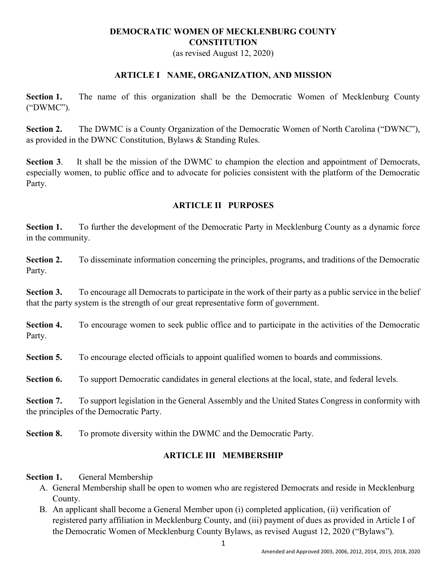# DEMOCRATIC WOMEN OF MECKLENBURG COUNTY **CONSTITUTION**

(as revised August 12, 2020)

#### ARTICLE I NAME, ORGANIZATION, AND MISSION

Section 1. The name of this organization shall be the Democratic Women of Mecklenburg County ("DWMC").

Section 2. The DWMC is a County Organization of the Democratic Women of North Carolina ("DWNC"), as provided in the DWNC Constitution, Bylaws & Standing Rules.

Section 3. It shall be the mission of the DWMC to champion the election and appointment of Democrats, especially women, to public office and to advocate for policies consistent with the platform of the Democratic Party.

#### ARTICLE II PURPOSES

Section 1. To further the development of the Democratic Party in Mecklenburg County as a dynamic force in the community.

Section 2. To disseminate information concerning the principles, programs, and traditions of the Democratic Party.

Section 3. To encourage all Democrats to participate in the work of their party as a public service in the belief that the party system is the strength of our great representative form of government.

Section 4. To encourage women to seek public office and to participate in the activities of the Democratic Party.

Section 5. To encourage elected officials to appoint qualified women to boards and commissions.

Section 6. To support Democratic candidates in general elections at the local, state, and federal levels.

Section 7. To support legislation in the General Assembly and the United States Congress in conformity with the principles of the Democratic Party.

Section 8. To promote diversity within the DWMC and the Democratic Party.

#### ARTICLE III MEMBERSHIP

#### Section 1. General Membership

- A. General Membership shall be open to women who are registered Democrats and reside in Mecklenburg County.
- B. An applicant shall become a General Member upon (i) completed application, (ii) verification of registered party affiliation in Mecklenburg County, and (iii) payment of dues as provided in Article I of the Democratic Women of Mecklenburg County Bylaws, as revised August 12, 2020 ("Bylaws").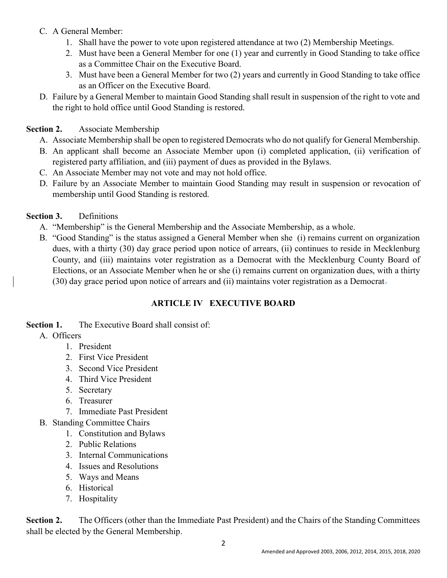- C. A General Member:
	- 1. Shall have the power to vote upon registered attendance at two (2) Membership Meetings.
	- 2. Must have been a General Member for one (1) year and currently in Good Standing to take office as a Committee Chair on the Executive Board.
	- 3. Must have been a General Member for two (2) years and currently in Good Standing to take office as an Officer on the Executive Board.
- D. Failure by a General Member to maintain Good Standing shall result in suspension of the right to vote and the right to hold office until Good Standing is restored.

### Section 2. Associate Membership

- A. Associate Membership shall be open to registered Democrats who do not qualify for General Membership.
- B. An applicant shall become an Associate Member upon (i) completed application, (ii) verification of registered party affiliation, and (iii) payment of dues as provided in the Bylaws.
- C. An Associate Member may not vote and may not hold office.
- D. Failure by an Associate Member to maintain Good Standing may result in suspension or revocation of membership until Good Standing is restored.

### Section 3. Definitions

- A. "Membership" is the General Membership and the Associate Membership, as a whole.
- B. "Good Standing" is the status assigned a General Member when she (i) remains current on organization dues, with a thirty (30) day grace period upon notice of arrears, (ii) continues to reside in Mecklenburg County, and (iii) maintains voter registration as a Democrat with the Mecklenburg County Board of Elections, or an Associate Member when he or she (i) remains current on organization dues, with a thirty (30) day grace period upon notice of arrears and (ii) maintains voter registration as a Democrat.

## ARTICLE IV EXECUTIVE BOARD

Section 1. The Executive Board shall consist of:

- A. Officers
	- 1. President
	- 2. First Vice President
	- 3. Second Vice President
	- 4. Third Vice President
	- 5. Secretary
	- 6. Treasurer
	- 7. Immediate Past President
- B. Standing Committee Chairs
	- 1. Constitution and Bylaws
	- 2. Public Relations
	- 3. Internal Communications
	- 4. Issues and Resolutions
	- 5. Ways and Means
	- 6. Historical
	- 7. Hospitality

Section 2. The Officers (other than the Immediate Past President) and the Chairs of the Standing Committees shall be elected by the General Membership.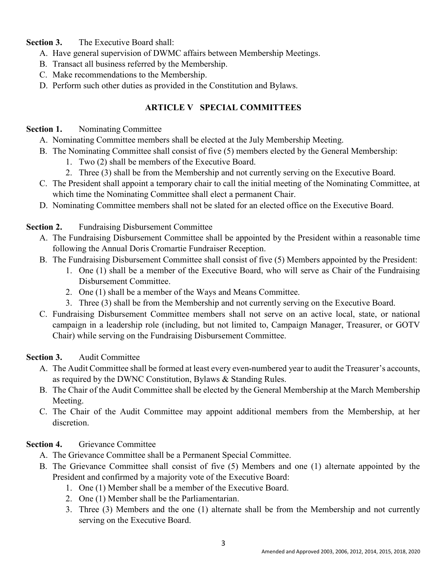Section 3. The Executive Board shall:

- A. Have general supervision of DWMC affairs between Membership Meetings.
- B. Transact all business referred by the Membership.
- C. Make recommendations to the Membership.
- D. Perform such other duties as provided in the Constitution and Bylaws.

### ARTICLE V SPECIAL COMMITTEES

#### Section 1. Nominating Committee

- A. Nominating Committee members shall be elected at the July Membership Meeting.
- B. The Nominating Committee shall consist of five (5) members elected by the General Membership:
	- 1. Two (2) shall be members of the Executive Board.
	- 2. Three (3) shall be from the Membership and not currently serving on the Executive Board.
- C. The President shall appoint a temporary chair to call the initial meeting of the Nominating Committee, at which time the Nominating Committee shall elect a permanent Chair.
- D. Nominating Committee members shall not be slated for an elected office on the Executive Board.

### Section 2. Fundraising Disbursement Committee

- A. The Fundraising Disbursement Committee shall be appointed by the President within a reasonable time following the Annual Doris Cromartie Fundraiser Reception.
- B. The Fundraising Disbursement Committee shall consist of five (5) Members appointed by the President:
	- 1. One (1) shall be a member of the Executive Board, who will serve as Chair of the Fundraising Disbursement Committee.
	- 2. One (1) shall be a member of the Ways and Means Committee.
	- 3. Three (3) shall be from the Membership and not currently serving on the Executive Board.
- C. Fundraising Disbursement Committee members shall not serve on an active local, state, or national campaign in a leadership role (including, but not limited to, Campaign Manager, Treasurer, or GOTV Chair) while serving on the Fundraising Disbursement Committee.

#### Section 3. Audit Committee

- A. The Audit Committee shall be formed at least every even-numbered year to audit the Treasurer's accounts, as required by the DWNC Constitution, Bylaws & Standing Rules.
- B. The Chair of the Audit Committee shall be elected by the General Membership at the March Membership Meeting.
- C. The Chair of the Audit Committee may appoint additional members from the Membership, at her discretion.

## Section 4. Grievance Committee

- A. The Grievance Committee shall be a Permanent Special Committee.
- B. The Grievance Committee shall consist of five (5) Members and one (1) alternate appointed by the President and confirmed by a majority vote of the Executive Board:
	- 1. One (1) Member shall be a member of the Executive Board.
	- 2. One (1) Member shall be the Parliamentarian.
	- 3. Three (3) Members and the one (1) alternate shall be from the Membership and not currently serving on the Executive Board.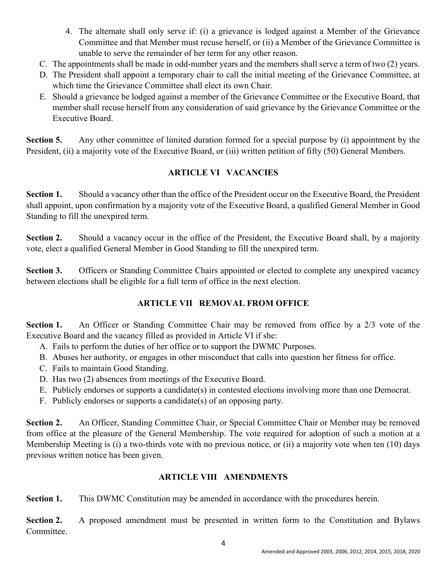- 4. The alternate shall only serve if: (i) a grievance is lodged against a Member of the Grievance Committee and that Member must recuse herself, or (ii) a Member of the Grievance Committee is unable to serve the remainder of her term for any other reason.
- C. The appointments shall be made in odd-number years and the members shall serve a term of two (2) years.
- D. The President shall appoint a temporary chair to call the initial meeting of the Grievance Committee, at which time the Grievance Committee shall elect its own Chair.
- E. Should a grievance be lodged against a member of the Grievance Committee or the Executive Board, that member shall recuse herself from any consideration of said grievance by the Grievance Committee or the Executive Board.

Section 5. Any other committee of limited duration formed for a special purpose by (i) appointment by the President, (ii) a majority vote of the Executive Board, or (iii) written petition of fifty (50) General Members.

## ARTICLE VI VACANCIES

Section 1. Should a vacancy other than the office of the President occur on the Executive Board, the President shall appoint, upon confirmation by a majority vote of the Executive Board, a qualified General Member in Good Standing to fill the unexpired term.

Section 2. Should a vacancy occur in the office of the President, the Executive Board shall, by a majority vote, elect a qualified General Member in Good Standing to fill the unexpired term.

Section 3. Officers or Standing Committee Chairs appointed or elected to complete any unexpired vacancy between elections shall be eligible for a full term of office in the next election.

## ARTICLE VII REMOVAL FROM OFFICE

Section 1. An Officer or Standing Committee Chair may be removed from office by a 2/3 vote of the Executive Board and the vacancy filled as provided in Article VI if she:

- A. Fails to perform the duties of her office or to support the DWMC Purposes.
- B. Abuses her authority, or engages in other misconduct that calls into question her fitness for office.
- C. Fails to maintain Good Standing.
- D. Has two (2) absences from meetings of the Executive Board.
- E. Publicly endorses or supports a candidate(s) in contested elections involving more than one Democrat.
- F. Publicly endorses or supports a candidate(s) of an opposing party.

Section 2. An Officer, Standing Committee Chair, or Special Committee Chair or Member may be removed from office at the pleasure of the General Membership. The vote required for adoption of such a motion at a Membership Meeting is (i) a two-thirds vote with no previous notice, or (ii) a majority vote when ten (10) days previous written notice has been given.

## ARTICLE VIII AMENDMENTS

Section 1. This DWMC Constitution may be amended in accordance with the procedures herein.

Section 2. A proposed amendment must be presented in written form to the Constitution and Bylaws Committee.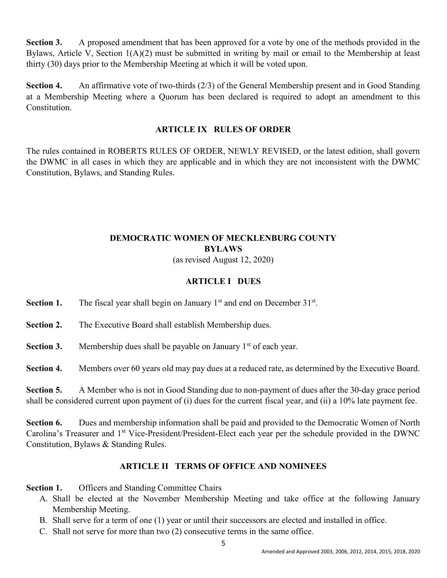Section 3. A proposed amendment that has been approved for a vote by one of the methods provided in the Bylaws, Article V, Section 1(A)(2) must be submitted in writing by mail or email to the Membership at least thirty (30) days prior to the Membership Meeting at which it will be voted upon.

Section 4. An affirmative vote of two-thirds (2/3) of the General Membership present and in Good Standing at a Membership Meeting where a Quorum has been declared is required to adopt an amendment to this Constitution.

#### ARTICLE IX RULES OF ORDER

The rules contained in ROBERTS RULES OF ORDER, NEWLY REVISED, or the latest edition, shall govern the DWMC in all cases in which they are applicable and in which they are not inconsistent with the DWMC Constitution, Bylaws, and Standing Rules.

## DEMOCRATIC WOMEN OF MECKLENBURG COUNTY BYLAWS

(as revised August 12, 2020)

### ARTICLE I DUES

**Section 1.** The fiscal year shall begin on January  $1<sup>st</sup>$  and end on December  $31<sup>st</sup>$ .

Section 2. The Executive Board shall establish Membership dues.

**Section 3.** Membership dues shall be payable on January  $1<sup>st</sup>$  of each year.

Section 4. Members over 60 years old may pay dues at a reduced rate, as determined by the Executive Board.

Section 5. A Member who is not in Good Standing due to non-payment of dues after the 30-day grace period shall be considered current upon payment of (i) dues for the current fiscal year, and (ii) a 10% late payment fee.

Section 6. Dues and membership information shall be paid and provided to the Democratic Women of North Carolina's Treasurer and 1<sup>st</sup> Vice-President/President-Elect each year per the schedule provided in the DWNC Constitution, Bylaws & Standing Rules.

## ARTICLE II TERMS OF OFFICE AND NOMINEES

Section 1. Officers and Standing Committee Chairs

- A. Shall be elected at the November Membership Meeting and take office at the following January Membership Meeting.
- B. Shall serve for a term of one (1) year or until their successors are elected and installed in office.
- C. Shall not serve for more than two (2) consecutive terms in the same office.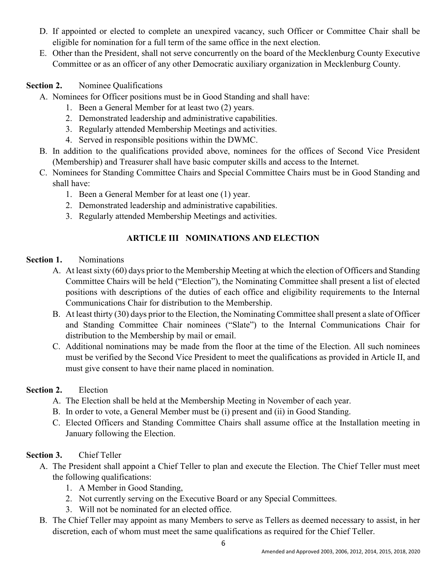- D. If appointed or elected to complete an unexpired vacancy, such Officer or Committee Chair shall be eligible for nomination for a full term of the same office in the next election.
- E. Other than the President, shall not serve concurrently on the board of the Mecklenburg County Executive Committee or as an officer of any other Democratic auxiliary organization in Mecklenburg County.

### Section 2. Nominee Qualifications

- A. Nominees for Officer positions must be in Good Standing and shall have:
	- 1. Been a General Member for at least two (2) years.
	- 2. Demonstrated leadership and administrative capabilities.
	- 3. Regularly attended Membership Meetings and activities.
	- 4. Served in responsible positions within the DWMC.
- B. In addition to the qualifications provided above, nominees for the offices of Second Vice President (Membership) and Treasurer shall have basic computer skills and access to the Internet.
- C. Nominees for Standing Committee Chairs and Special Committee Chairs must be in Good Standing and shall have:
	- 1. Been a General Member for at least one (1) year.
	- 2. Demonstrated leadership and administrative capabilities.
	- 3. Regularly attended Membership Meetings and activities.

## ARTICLE III NOMINATIONS AND ELECTION

#### Section 1. Nominations

- A. At least sixty (60) days prior to the Membership Meeting at which the election of Officers and Standing Committee Chairs will be held ("Election"), the Nominating Committee shall present a list of elected positions with descriptions of the duties of each office and eligibility requirements to the Internal Communications Chair for distribution to the Membership.
- B. At least thirty (30) days prior to the Election, the Nominating Committee shall present a slate of Officer and Standing Committee Chair nominees ("Slate") to the Internal Communications Chair for distribution to the Membership by mail or email.
- C. Additional nominations may be made from the floor at the time of the Election. All such nominees must be verified by the Second Vice President to meet the qualifications as provided in Article II, and must give consent to have their name placed in nomination.

#### Section 2. Election

- A. The Election shall be held at the Membership Meeting in November of each year.
- B. In order to vote, a General Member must be (i) present and (ii) in Good Standing.
- C. Elected Officers and Standing Committee Chairs shall assume office at the Installation meeting in January following the Election.

#### Section 3. Chief Teller

- A. The President shall appoint a Chief Teller to plan and execute the Election. The Chief Teller must meet the following qualifications:
	- 1. A Member in Good Standing,
	- 2. Not currently serving on the Executive Board or any Special Committees.
	- 3. Will not be nominated for an elected office.
- B. The Chief Teller may appoint as many Members to serve as Tellers as deemed necessary to assist, in her discretion, each of whom must meet the same qualifications as required for the Chief Teller.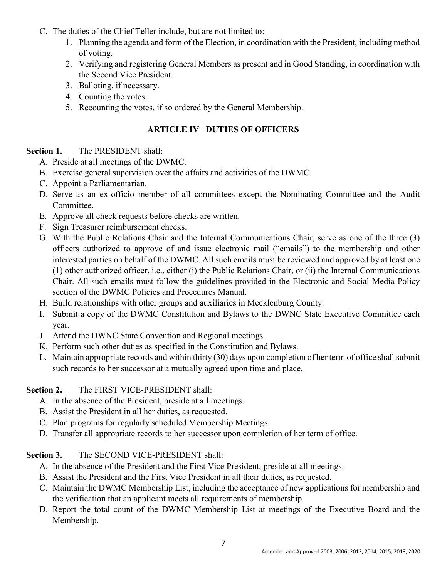- C. The duties of the Chief Teller include, but are not limited to:
	- 1. Planning the agenda and form of the Election, in coordination with the President, including method of voting.
	- 2. Verifying and registering General Members as present and in Good Standing, in coordination with the Second Vice President.
	- 3. Balloting, if necessary.
	- 4. Counting the votes.
	- 5. Recounting the votes, if so ordered by the General Membership.

### ARTICLE IV DUTIES OF OFFICERS

#### Section 1. The PRESIDENT shall:

- A. Preside at all meetings of the DWMC.
- B. Exercise general supervision over the affairs and activities of the DWMC.
- C. Appoint a Parliamentarian.
- D. Serve as an ex-officio member of all committees except the Nominating Committee and the Audit Committee.
- E. Approve all check requests before checks are written.
- F. Sign Treasurer reimbursement checks.
- G. With the Public Relations Chair and the Internal Communications Chair, serve as one of the three (3) officers authorized to approve of and issue electronic mail ("emails") to the membership and other interested parties on behalf of the DWMC. All such emails must be reviewed and approved by at least one (1) other authorized officer, i.e., either (i) the Public Relations Chair, or (ii) the Internal Communications Chair. All such emails must follow the guidelines provided in the Electronic and Social Media Policy section of the DWMC Policies and Procedures Manual.
- H. Build relationships with other groups and auxiliaries in Mecklenburg County.
- I. Submit a copy of the DWMC Constitution and Bylaws to the DWNC State Executive Committee each year.
- J. Attend the DWNC State Convention and Regional meetings.
- K. Perform such other duties as specified in the Constitution and Bylaws.
- L. Maintain appropriate records and within thirty (30) days upon completion of her term of office shall submit such records to her successor at a mutually agreed upon time and place.

#### Section 2. The FIRST VICE-PRESIDENT shall:

- A. In the absence of the President, preside at all meetings.
- B. Assist the President in all her duties, as requested.
- C. Plan programs for regularly scheduled Membership Meetings.
- D. Transfer all appropriate records to her successor upon completion of her term of office.

#### Section 3. The SECOND VICE-PRESIDENT shall:

- A. In the absence of the President and the First Vice President, preside at all meetings.
- B. Assist the President and the First Vice President in all their duties, as requested.
- C. Maintain the DWMC Membership List, including the acceptance of new applications for membership and the verification that an applicant meets all requirements of membership.
- D. Report the total count of the DWMC Membership List at meetings of the Executive Board and the Membership.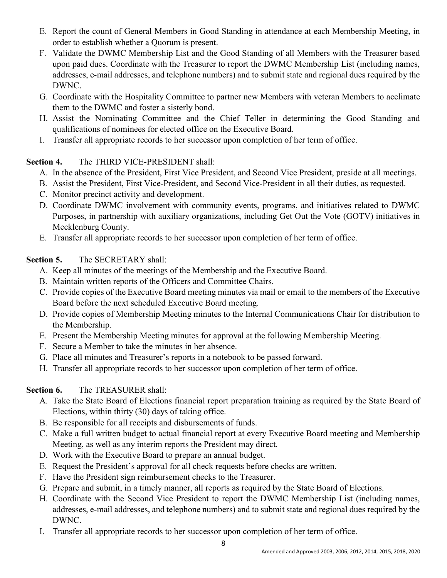- E. Report the count of General Members in Good Standing in attendance at each Membership Meeting, in order to establish whether a Quorum is present.
- F. Validate the DWMC Membership List and the Good Standing of all Members with the Treasurer based upon paid dues. Coordinate with the Treasurer to report the DWMC Membership List (including names, addresses, e-mail addresses, and telephone numbers) and to submit state and regional dues required by the DWNC.
- G. Coordinate with the Hospitality Committee to partner new Members with veteran Members to acclimate them to the DWMC and foster a sisterly bond.
- H. Assist the Nominating Committee and the Chief Teller in determining the Good Standing and qualifications of nominees for elected office on the Executive Board.
- I. Transfer all appropriate records to her successor upon completion of her term of office.

## Section 4. The THIRD VICE-PRESIDENT shall:

- A. In the absence of the President, First Vice President, and Second Vice President, preside at all meetings.
- B. Assist the President, First Vice-President, and Second Vice-President in all their duties, as requested.
- C. Monitor precinct activity and development.
- D. Coordinate DWMC involvement with community events, programs, and initiatives related to DWMC Purposes, in partnership with auxiliary organizations, including Get Out the Vote (GOTV) initiatives in Mecklenburg County.
- E. Transfer all appropriate records to her successor upon completion of her term of office.

## Section 5. The SECRETARY shall:

- A. Keep all minutes of the meetings of the Membership and the Executive Board.
- B. Maintain written reports of the Officers and Committee Chairs.
- C. Provide copies of the Executive Board meeting minutes via mail or email to the members of the Executive Board before the next scheduled Executive Board meeting.
- D. Provide copies of Membership Meeting minutes to the Internal Communications Chair for distribution to the Membership.
- E. Present the Membership Meeting minutes for approval at the following Membership Meeting.
- F. Secure a Member to take the minutes in her absence.
- G. Place all minutes and Treasurer's reports in a notebook to be passed forward.
- H. Transfer all appropriate records to her successor upon completion of her term of office.

## Section 6. The TREASURER shall:

- A. Take the State Board of Elections financial report preparation training as required by the State Board of Elections, within thirty (30) days of taking office.
- B. Be responsible for all receipts and disbursements of funds.
- C. Make a full written budget to actual financial report at every Executive Board meeting and Membership Meeting, as well as any interim reports the President may direct.
- D. Work with the Executive Board to prepare an annual budget.
- E. Request the President's approval for all check requests before checks are written.
- F. Have the President sign reimbursement checks to the Treasurer.
- G. Prepare and submit, in a timely manner, all reports as required by the State Board of Elections.
- H. Coordinate with the Second Vice President to report the DWMC Membership List (including names, addresses, e-mail addresses, and telephone numbers) and to submit state and regional dues required by the DWNC.
- I. Transfer all appropriate records to her successor upon completion of her term of office.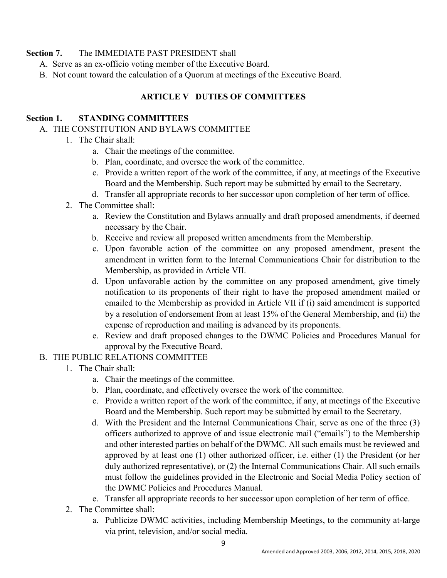#### Section 7. The IMMEDIATE PAST PRESIDENT shall

- A. Serve as an ex-officio voting member of the Executive Board.
- B. Not count toward the calculation of a Quorum at meetings of the Executive Board.

### ARTICLE V DUTIES OF COMMITTEES

#### Section 1. STANDING COMMITTEES

#### A. THE CONSTITUTION AND BYLAWS COMMITTEE

- 1. The Chair shall:
	- a. Chair the meetings of the committee.
	- b. Plan, coordinate, and oversee the work of the committee.
	- c. Provide a written report of the work of the committee, if any, at meetings of the Executive Board and the Membership. Such report may be submitted by email to the Secretary.
	- d. Transfer all appropriate records to her successor upon completion of her term of office.
- 2. The Committee shall:
	- a. Review the Constitution and Bylaws annually and draft proposed amendments, if deemed necessary by the Chair.
	- b. Receive and review all proposed written amendments from the Membership.
	- c. Upon favorable action of the committee on any proposed amendment, present the amendment in written form to the Internal Communications Chair for distribution to the Membership, as provided in Article VII.
	- d. Upon unfavorable action by the committee on any proposed amendment, give timely notification to its proponents of their right to have the proposed amendment mailed or emailed to the Membership as provided in Article VII if (i) said amendment is supported by a resolution of endorsement from at least 15% of the General Membership, and (ii) the expense of reproduction and mailing is advanced by its proponents.
	- e. Review and draft proposed changes to the DWMC Policies and Procedures Manual for approval by the Executive Board.

#### B. THE PUBLIC RELATIONS COMMITTEE

- 1. The Chair shall:
	- a. Chair the meetings of the committee.
	- b. Plan, coordinate, and effectively oversee the work of the committee.
	- c. Provide a written report of the work of the committee, if any, at meetings of the Executive Board and the Membership. Such report may be submitted by email to the Secretary.
	- d. With the President and the Internal Communications Chair, serve as one of the three (3) officers authorized to approve of and issue electronic mail ("emails") to the Membership and other interested parties on behalf of the DWMC. All such emails must be reviewed and approved by at least one (1) other authorized officer, i.e. either (1) the President (or her duly authorized representative), or (2) the Internal Communications Chair. All such emails must follow the guidelines provided in the Electronic and Social Media Policy section of the DWMC Policies and Procedures Manual.
	- e. Transfer all appropriate records to her successor upon completion of her term of office.
- 2. The Committee shall:
	- a. Publicize DWMC activities, including Membership Meetings, to the community at-large via print, television, and/or social media.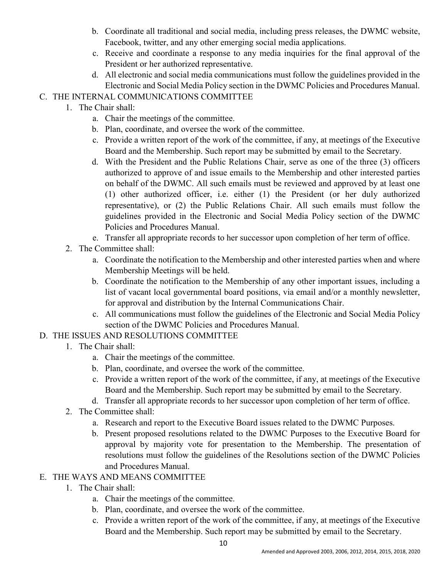- b. Coordinate all traditional and social media, including press releases, the DWMC website, Facebook, twitter, and any other emerging social media applications.
- c. Receive and coordinate a response to any media inquiries for the final approval of the President or her authorized representative.
- d. All electronic and social media communications must follow the guidelines provided in the Electronic and Social Media Policy section in the DWMC Policies and Procedures Manual.

## C. THE INTERNAL COMMUNICATIONS COMMITTEE

- 1. The Chair shall:
	- a. Chair the meetings of the committee.
	- b. Plan, coordinate, and oversee the work of the committee.
	- c. Provide a written report of the work of the committee, if any, at meetings of the Executive Board and the Membership. Such report may be submitted by email to the Secretary.
	- d. With the President and the Public Relations Chair, serve as one of the three (3) officers authorized to approve of and issue emails to the Membership and other interested parties on behalf of the DWMC. All such emails must be reviewed and approved by at least one (1) other authorized officer, i.e. either (1) the President (or her duly authorized representative), or (2) the Public Relations Chair. All such emails must follow the guidelines provided in the Electronic and Social Media Policy section of the DWMC Policies and Procedures Manual.
	- e. Transfer all appropriate records to her successor upon completion of her term of office.
- 2. The Committee shall:
	- a. Coordinate the notification to the Membership and other interested parties when and where Membership Meetings will be held.
	- b. Coordinate the notification to the Membership of any other important issues, including a list of vacant local governmental board positions, via email and/or a monthly newsletter, for approval and distribution by the Internal Communications Chair.
	- c. All communications must follow the guidelines of the Electronic and Social Media Policy section of the DWMC Policies and Procedures Manual.

## D. THE ISSUES AND RESOLUTIONS COMMITTEE

- 1. The Chair shall:
	- a. Chair the meetings of the committee.
	- b. Plan, coordinate, and oversee the work of the committee.
	- c. Provide a written report of the work of the committee, if any, at meetings of the Executive Board and the Membership. Such report may be submitted by email to the Secretary.
	- d. Transfer all appropriate records to her successor upon completion of her term of office.
- 2. The Committee shall:
	- a. Research and report to the Executive Board issues related to the DWMC Purposes.
	- b. Present proposed resolutions related to the DWMC Purposes to the Executive Board for approval by majority vote for presentation to the Membership. The presentation of resolutions must follow the guidelines of the Resolutions section of the DWMC Policies and Procedures Manual.

## E. THE WAYS AND MEANS COMMITTEE

- 1. The Chair shall:
	- a. Chair the meetings of the committee.
	- b. Plan, coordinate, and oversee the work of the committee.
	- c. Provide a written report of the work of the committee, if any, at meetings of the Executive Board and the Membership. Such report may be submitted by email to the Secretary.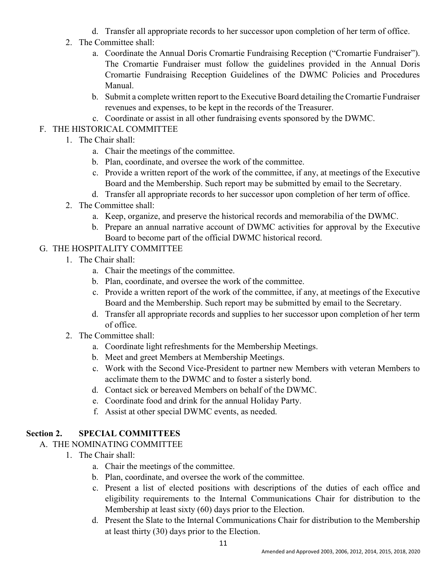- d. Transfer all appropriate records to her successor upon completion of her term of office.
- 2. The Committee shall:
	- a. Coordinate the Annual Doris Cromartie Fundraising Reception ("Cromartie Fundraiser"). The Cromartie Fundraiser must follow the guidelines provided in the Annual Doris Cromartie Fundraising Reception Guidelines of the DWMC Policies and Procedures Manual.
	- b. Submit a complete written report to the Executive Board detailing the Cromartie Fundraiser revenues and expenses, to be kept in the records of the Treasurer.
	- c. Coordinate or assist in all other fundraising events sponsored by the DWMC.

## F. THE HISTORICAL COMMITTEE

- 1. The Chair shall:
	- a. Chair the meetings of the committee.
	- b. Plan, coordinate, and oversee the work of the committee.
	- c. Provide a written report of the work of the committee, if any, at meetings of the Executive Board and the Membership. Such report may be submitted by email to the Secretary.
	- d. Transfer all appropriate records to her successor upon completion of her term of office.
- 2. The Committee shall:
	- a. Keep, organize, and preserve the historical records and memorabilia of the DWMC.
	- b. Prepare an annual narrative account of DWMC activities for approval by the Executive Board to become part of the official DWMC historical record.

## G. THE HOSPITALITY COMMITTEE

- 1. The Chair shall:
	- a. Chair the meetings of the committee.
	- b. Plan, coordinate, and oversee the work of the committee.
	- c. Provide a written report of the work of the committee, if any, at meetings of the Executive Board and the Membership. Such report may be submitted by email to the Secretary.
	- d. Transfer all appropriate records and supplies to her successor upon completion of her term of office.
- 2. The Committee shall:
	- a. Coordinate light refreshments for the Membership Meetings.
	- b. Meet and greet Members at Membership Meetings.
	- c. Work with the Second Vice-President to partner new Members with veteran Members to acclimate them to the DWMC and to foster a sisterly bond.
	- d. Contact sick or bereaved Members on behalf of the DWMC.
	- e. Coordinate food and drink for the annual Holiday Party.
	- f. Assist at other special DWMC events, as needed.

## Section 2. SPECIAL COMMITTEES

- A. THE NOMINATING COMMITTEE
	- 1. The Chair shall:
		- a. Chair the meetings of the committee.
		- b. Plan, coordinate, and oversee the work of the committee.
		- c. Present a list of elected positions with descriptions of the duties of each office and eligibility requirements to the Internal Communications Chair for distribution to the Membership at least sixty (60) days prior to the Election.
		- d. Present the Slate to the Internal Communications Chair for distribution to the Membership at least thirty (30) days prior to the Election.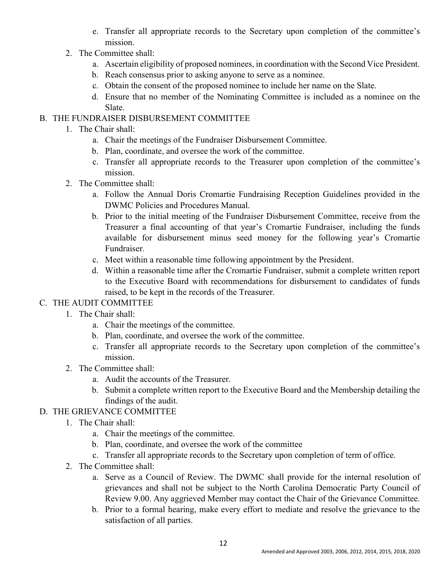- e. Transfer all appropriate records to the Secretary upon completion of the committee's mission.
- 2. The Committee shall:
	- a. Ascertain eligibility of proposed nominees, in coordination with the Second Vice President.
	- b. Reach consensus prior to asking anyone to serve as a nominee.
	- c. Obtain the consent of the proposed nominee to include her name on the Slate.
	- d. Ensure that no member of the Nominating Committee is included as a nominee on the Slate.

### B. THE FUNDRAISER DISBURSEMENT COMMITTEE

- 1. The Chair shall:
	- a. Chair the meetings of the Fundraiser Disbursement Committee.
	- b. Plan, coordinate, and oversee the work of the committee.
	- c. Transfer all appropriate records to the Treasurer upon completion of the committee's mission.
- 2. The Committee shall:
	- a. Follow the Annual Doris Cromartie Fundraising Reception Guidelines provided in the DWMC Policies and Procedures Manual.
	- b. Prior to the initial meeting of the Fundraiser Disbursement Committee, receive from the Treasurer a final accounting of that year's Cromartie Fundraiser, including the funds available for disbursement minus seed money for the following year's Cromartie Fundraiser.
	- c. Meet within a reasonable time following appointment by the President.
	- d. Within a reasonable time after the Cromartie Fundraiser, submit a complete written report to the Executive Board with recommendations for disbursement to candidates of funds raised, to be kept in the records of the Treasurer.

## C. THE AUDIT COMMITTEE

- 1. The Chair shall:
	- a. Chair the meetings of the committee.
	- b. Plan, coordinate, and oversee the work of the committee.
	- c. Transfer all appropriate records to the Secretary upon completion of the committee's mission.
- 2. The Committee shall:
	- a. Audit the accounts of the Treasurer.
	- b. Submit a complete written report to the Executive Board and the Membership detailing the findings of the audit.

## D. THE GRIEVANCE COMMITTEE

- 1. The Chair shall:
	- a. Chair the meetings of the committee.
	- b. Plan, coordinate, and oversee the work of the committee
	- c. Transfer all appropriate records to the Secretary upon completion of term of office.
- 2. The Committee shall:
	- a. Serve as a Council of Review. The DWMC shall provide for the internal resolution of grievances and shall not be subject to the North Carolina Democratic Party Council of Review 9.00. Any aggrieved Member may contact the Chair of the Grievance Committee.
	- b. Prior to a formal hearing, make every effort to mediate and resolve the grievance to the satisfaction of all parties.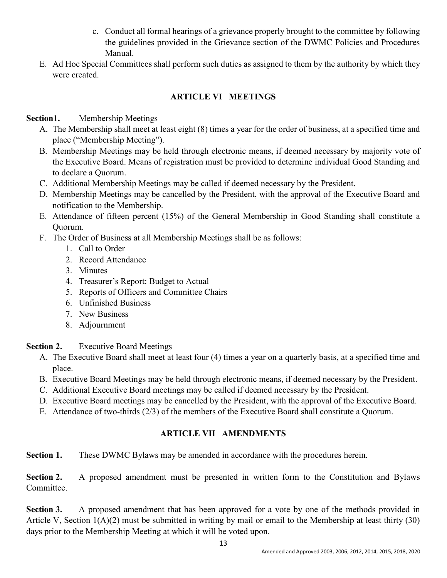- c. Conduct all formal hearings of a grievance properly brought to the committee by following the guidelines provided in the Grievance section of the DWMC Policies and Procedures Manual.
- E. Ad Hoc Special Committees shall perform such duties as assigned to them by the authority by which they were created.

## ARTICLE VI MEETINGS

Section1. Membership Meetings

- A. The Membership shall meet at least eight (8) times a year for the order of business, at a specified time and place ("Membership Meeting").
- B. Membership Meetings may be held through electronic means, if deemed necessary by majority vote of the Executive Board. Means of registration must be provided to determine individual Good Standing and to declare a Quorum.
- C. Additional Membership Meetings may be called if deemed necessary by the President.
- D. Membership Meetings may be cancelled by the President, with the approval of the Executive Board and notification to the Membership.
- E. Attendance of fifteen percent (15%) of the General Membership in Good Standing shall constitute a Quorum.
- F. The Order of Business at all Membership Meetings shall be as follows:
	- 1. Call to Order
	- 2. Record Attendance
	- 3. Minutes
	- 4. Treasurer's Report: Budget to Actual
	- 5. Reports of Officers and Committee Chairs
	- 6. Unfinished Business
	- 7. New Business
	- 8. Adjournment

Section 2. Executive Board Meetings

- A. The Executive Board shall meet at least four (4) times a year on a quarterly basis, at a specified time and place.
- B. Executive Board Meetings may be held through electronic means, if deemed necessary by the President.
- C. Additional Executive Board meetings may be called if deemed necessary by the President.
- D. Executive Board meetings may be cancelled by the President, with the approval of the Executive Board.
- E. Attendance of two-thirds (2/3) of the members of the Executive Board shall constitute a Quorum.

## ARTICLE VII AMENDMENTS

Section 1. These DWMC Bylaws may be amended in accordance with the procedures herein.

Section 2. A proposed amendment must be presented in written form to the Constitution and Bylaws Committee.

Section 3. A proposed amendment that has been approved for a vote by one of the methods provided in Article V, Section 1(A)(2) must be submitted in writing by mail or email to the Membership at least thirty (30) days prior to the Membership Meeting at which it will be voted upon.